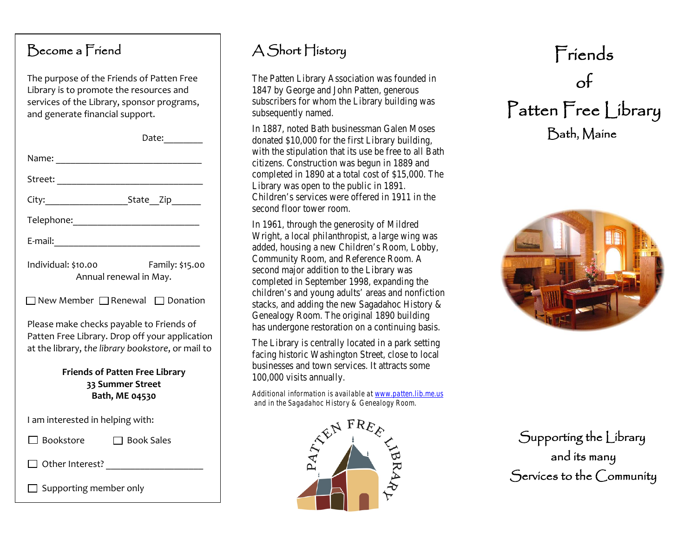### Become a Friend

The purpose of the Friends of Patten Free Library is to promote the resources and services of the Library, sponsor programs, and generate financial support.

|                                                                                                                                                 | Date: $\frac{1}{\sqrt{1-\frac{1}{2}}}\frac{1}{\sqrt{1-\frac{1}{2}}}\frac{1}{\sqrt{1-\frac{1}{2}}}\frac{1}{\sqrt{1-\frac{1}{2}}}\frac{1}{\sqrt{1-\frac{1}{2}}}\frac{1}{\sqrt{1-\frac{1}{2}}}\frac{1}{\sqrt{1-\frac{1}{2}}}\frac{1}{\sqrt{1-\frac{1}{2}}}\frac{1}{\sqrt{1-\frac{1}{2}}}\frac{1}{\sqrt{1-\frac{1}{2}}}\frac{1}{\sqrt{1-\frac{1}{2}}}\frac{1}{\sqrt{1-\frac{1}{2}}}\frac{1}{\sqrt{1-\frac{1}{2}}}\frac{1}{\$ |
|-------------------------------------------------------------------------------------------------------------------------------------------------|--------------------------------------------------------------------------------------------------------------------------------------------------------------------------------------------------------------------------------------------------------------------------------------------------------------------------------------------------------------------------------------------------------------------------|
| Name:                                                                                                                                           |                                                                                                                                                                                                                                                                                                                                                                                                                          |
|                                                                                                                                                 |                                                                                                                                                                                                                                                                                                                                                                                                                          |
|                                                                                                                                                 |                                                                                                                                                                                                                                                                                                                                                                                                                          |
|                                                                                                                                                 |                                                                                                                                                                                                                                                                                                                                                                                                                          |
|                                                                                                                                                 |                                                                                                                                                                                                                                                                                                                                                                                                                          |
| Individual: \$10.00                                                                                                                             | Family: \$15.00<br>Annual renewal in May.                                                                                                                                                                                                                                                                                                                                                                                |
|                                                                                                                                                 | $\Box$ New Member $\Box$ Renewal $\Box$ Donation                                                                                                                                                                                                                                                                                                                                                                         |
| Please make checks payable to Friends of<br>Patten Free Library. Drop off your application<br>at the library, the library bookstore, or mail to |                                                                                                                                                                                                                                                                                                                                                                                                                          |
| <b>Friends of Patten Free Library</b><br>33 Summer Street<br>Bath, ME 04530                                                                     |                                                                                                                                                                                                                                                                                                                                                                                                                          |
| I am interested in helping with:                                                                                                                |                                                                                                                                                                                                                                                                                                                                                                                                                          |
| $\Box$ Bookstore                                                                                                                                | $\Box$ Book Sales                                                                                                                                                                                                                                                                                                                                                                                                        |
|                                                                                                                                                 |                                                                                                                                                                                                                                                                                                                                                                                                                          |
| Supporting member only                                                                                                                          |                                                                                                                                                                                                                                                                                                                                                                                                                          |

# A Short History

The Patten Library Association was founded in 1847 by George and John Patten, generous subscribers for whom the Library building was subsequently named.

In 1887, noted Bath businessman Galen Moses donated \$10,000 for the first Library building, with the stipulation that its use be free to all Bath citizens. Construction was begun in 1889 and completed in 1890 at a total cost of \$15,000. The Library was open to the public in 1891. Children's services were offered in 1911 in the second floor tower room.

In 1961, through the generosity of Mildred Wright, a local philanthropist, a large wing was added, housing a new Children's Room, Lobby, Community Room, and Reference Room. A second major addition to the Library was completed in September 1998, expanding the children's and young adults' areas and nonfiction stacks, and adding the new Sagadahoc History & Genealogy Room. The original 1890 building has undergone restoration on a continuing basis.

The Library is centrally located in a park setting facing historic Washington Street, close to local businesses and town services. It attracts some 100,000 visits annually.

*Additional information is available at [www.patten.lib.me.us](http://www.patten.lib.me.us/) and in the Sagadahoc History & Genealogy Room.*



# Friends of Patten Free Library Bath, Maine



Supporting the Library and its many Services to the Community